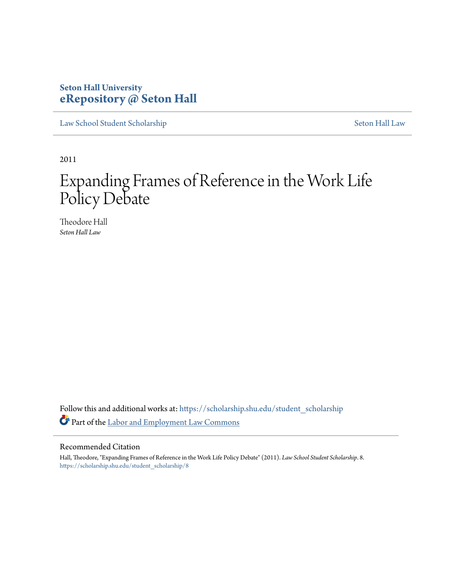### **Seton Hall University [eRepository @ Seton Hall](https://scholarship.shu.edu?utm_source=scholarship.shu.edu%2Fstudent_scholarship%2F8&utm_medium=PDF&utm_campaign=PDFCoverPages)**

[Law School Student Scholarship](https://scholarship.shu.edu/student_scholarship?utm_source=scholarship.shu.edu%2Fstudent_scholarship%2F8&utm_medium=PDF&utm_campaign=PDFCoverPages) [Seton Hall Law](https://scholarship.shu.edu/law?utm_source=scholarship.shu.edu%2Fstudent_scholarship%2F8&utm_medium=PDF&utm_campaign=PDFCoverPages)

2011

## Expanding Frames of Reference in the Work Life Policy Debate

Theodore Hall *Seton Hall Law*

Follow this and additional works at: [https://scholarship.shu.edu/student\\_scholarship](https://scholarship.shu.edu/student_scholarship?utm_source=scholarship.shu.edu%2Fstudent_scholarship%2F8&utm_medium=PDF&utm_campaign=PDFCoverPages) Part of the [Labor and Employment Law Commons](http://network.bepress.com/hgg/discipline/909?utm_source=scholarship.shu.edu%2Fstudent_scholarship%2F8&utm_medium=PDF&utm_campaign=PDFCoverPages)

#### Recommended Citation

Hall, Theodore, "Expanding Frames of Reference in the Work Life Policy Debate" (2011). *Law School Student Scholarship*. 8. [https://scholarship.shu.edu/student\\_scholarship/8](https://scholarship.shu.edu/student_scholarship/8?utm_source=scholarship.shu.edu%2Fstudent_scholarship%2F8&utm_medium=PDF&utm_campaign=PDFCoverPages)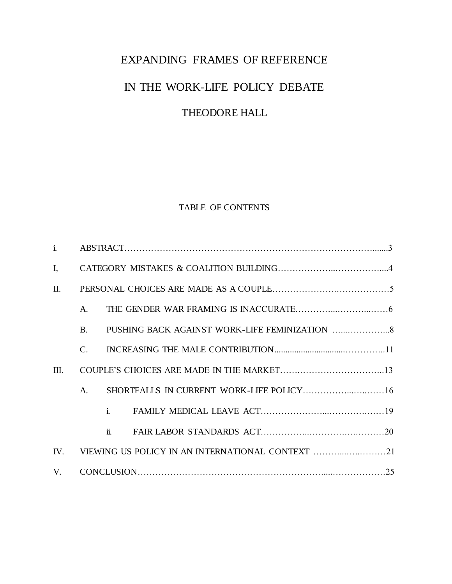# EXPANDING FRAMES OF REFERENCE IN THE WORK-LIFE POLICY DEBATE THEODORE HALL

#### TABLE OF CONTENTS

| $\mathbf{i}$    |                                                      |                                          |  |
|-----------------|------------------------------------------------------|------------------------------------------|--|
| $I_{\star}$     |                                                      |                                          |  |
| $\mathbf{II}$ . |                                                      |                                          |  |
|                 | $A_{\cdot}$                                          |                                          |  |
|                 | $\mathbf{B}$                                         |                                          |  |
|                 | C.                                                   |                                          |  |
| Ш.              |                                                      |                                          |  |
|                 | A.                                                   | SHORTFALLS IN CURRENT WORK-LIFE POLICY16 |  |
|                 |                                                      |                                          |  |
|                 |                                                      |                                          |  |
|                 | IV. VIEWING US POLICY IN AN INTERNATIONAL CONTEXT 21 |                                          |  |
| V.              |                                                      |                                          |  |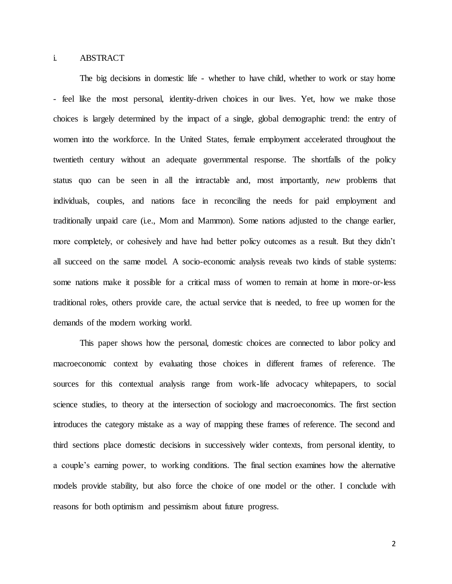#### i. ABSTRACT

The big decisions in domestic life - whether to have child, whether to work or stay home - feel like the most personal, identity-driven choices in our lives. Yet, how we make those choices is largely determined by the impact of a single, global demographic trend: the entry of women into the workforce. In the United States, female employment accelerated throughout the twentieth century without an adequate governmental response. The shortfalls of the policy status quo can be seen in all the intractable and, most importantly, *new* problems that individuals, couples, and nations face in reconciling the needs for paid employment and traditionally unpaid care (i.e., Mom and Mammon). Some nations adjusted to the change earlier, more completely, or cohesively and have had better policy outcomes as a result. But they didn't all succeed on the same model. A socio-economic analysis reveals two kinds of stable systems: some nations make it possible for a critical mass of women to remain at home in more-or-less traditional roles, others provide care, the actual service that is needed, to free up women for the demands of the modern working world.

This paper shows how the personal, domestic choices are connected to labor policy and macroeconomic context by evaluating those choices in different frames of reference. The sources for this contextual analysis range from work-life advocacy whitepapers, to social science studies, to theory at the intersection of sociology and macroeconomics. The first section introduces the category mistake as a way of mapping these frames of reference. The second and third sections place domestic decisions in successively wider contexts, from personal identity, to a couple's earning power, to working conditions. The final section examines how the alternative models provide stability, but also force the choice of one model or the other. I conclude with reasons for both optimism and pessimism about future progress.

2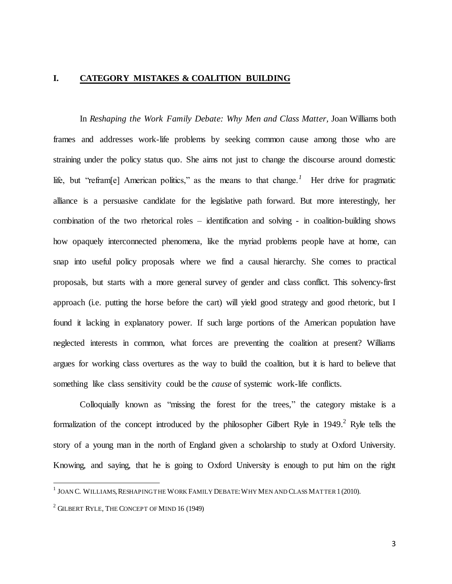#### **I. CATEGORY MISTAKES & COALITION BUILDING**

In *Reshaping the Work Family Debate: Why Men and Class Matter,* Joan Williams both frames and addresses work-life problems by seeking common cause among those who are straining under the policy status quo. She aims not just to change the discourse around domestic life, but "refram<sup>[e]</sup> American politics," as the means to that change.<sup>1</sup> Her drive for pragmatic alliance is a persuasive candidate for the legislative path forward. But more interestingly, her combination of the two rhetorical roles – identification and solving - in coalition-building shows how opaquely interconnected phenomena, like the myriad problems people have at home, can snap into useful policy proposals where we find a causal hierarchy. She comes to practical proposals, but starts with a more general survey of gender and class conflict. This solvency-first approach (i.e. putting the horse before the cart) will yield good strategy and good rhetoric, but I found it lacking in explanatory power. If such large portions of the American population have neglected interests in common, what forces are preventing the coalition at present? Williams argues for working class overtures as the way to build the coalition, but it is hard to believe that something like class sensitivity could be the *cause* of systemic work-life conflicts.

Colloquially known as "missing the forest for the trees," the category mistake is a formalization of the concept introduced by the philosopher Gilbert Ryle in 1949.<sup>2</sup> Ryle tells the story of a young man in the north of England given a scholarship to study at Oxford University. Knowing, and saying, that he is going to Oxford University is enough to put him on the right

 1 JOAN C. WILLIAMS, RESHAPING THE WORK FAMILY DEBATE:WHY MEN AND CLASS MATTER1 (2010).

 $2$  GILBERT RYLE, THE CONCEPT OF MIND 16 (1949)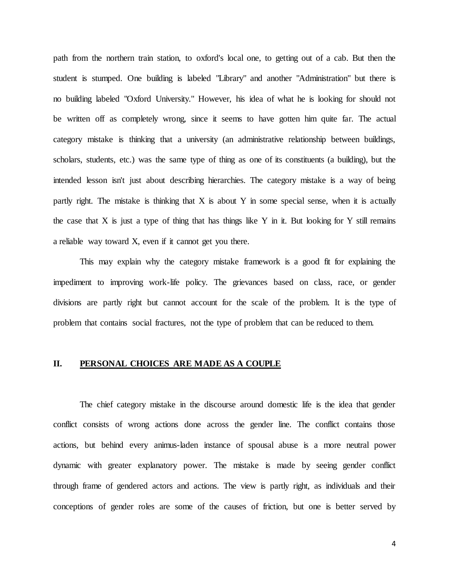path from the northern train station, to oxford's local one, to getting out of a cab. But then the student is stumped. One building is labeled "Library" and another "Administration" but there is no building labeled "Oxford University." However, his idea of what he is looking for should not be written off as completely wrong, since it seems to have gotten him quite far. The actual category mistake is thinking that a university (an administrative relationship between buildings, scholars, students, etc.) was the same type of thing as one of its constituents (a building), but the intended lesson isn't just about describing hierarchies. The category mistake is a way of being partly right. The mistake is thinking that  $X$  is about  $Y$  in some special sense, when it is actually the case that  $X$  is just a type of thing that has things like  $Y$  in it. But looking for  $Y$  still remains a reliable way toward X, even if it cannot get you there.

This may explain why the category mistake framework is a good fit for explaining the impediment to improving work-life policy. The grievances based on class, race, or gender divisions are partly right but cannot account for the scale of the problem. It is the type of problem that contains social fractures, not the type of problem that can be reduced to them.

#### **II. PERSONAL CHOICES ARE MADE AS A COUPLE**

The chief category mistake in the discourse around domestic life is the idea that gender conflict consists of wrong actions done across the gender line. The conflict contains those actions, but behind every animus-laden instance of spousal abuse is a more neutral power dynamic with greater explanatory power. The mistake is made by seeing gender conflict through frame of gendered actors and actions. The view is partly right, as individuals and their conceptions of gender roles are some of the causes of friction, but one is better served by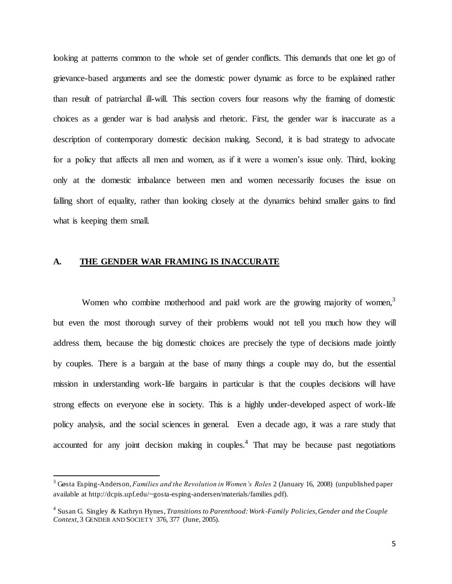looking at patterns common to the whole set of gender conflicts. This demands that one let go of grievance-based arguments and see the domestic power dynamic as force to be explained rather than result of patriarchal ill-will. This section covers four reasons why the framing of domestic choices as a gender war is bad analysis and rhetoric. First, the gender war is inaccurate as a description of contemporary domestic decision making. Second, it is bad strategy to advocate for a policy that affects all men and women, as if it were a women's issue only. Third, looking only at the domestic imbalance between men and women necessarily focuses the issue on falling short of equality, rather than looking closely at the dynamics behind smaller gains to find what is keeping them small.

#### **A. THE GENDER WAR FRAMING IS INACCURATE**

 $\overline{a}$ 

Women who combine motherhood and paid work are the growing majority of women,<sup>3</sup> but even the most thorough survey of their problems would not tell you much how they will address them, because the big domestic choices are precisely the type of decisions made jointly by couples. There is a bargain at the base of many things a couple may do, but the essential mission in understanding work-life bargains in particular is that the couples decisions will have strong effects on everyone else in society. This is a highly under-developed aspect of work-life policy analysis, and the social sciences in general. Even a decade ago, it was a rare study that accounted for any joint decision making in couples.<sup>4</sup> That may be because past negotiations

<sup>3</sup> Gøsta Esping-Anderson, *Families and the Revolution in Women's Roles* 2 (January 16, 2008) (unpublished paper available at http://dcpis.upf.edu/~gosta-esping-andersen/materials/families.pdf).

<sup>4</sup> Susan G. Singley & Kathryn Hynes, *Transitions to Parenthood: Work -Family Policies, Gender and the Couple Context,* 3 GENDER AND SOCIETY 376, 377 (June, 2005).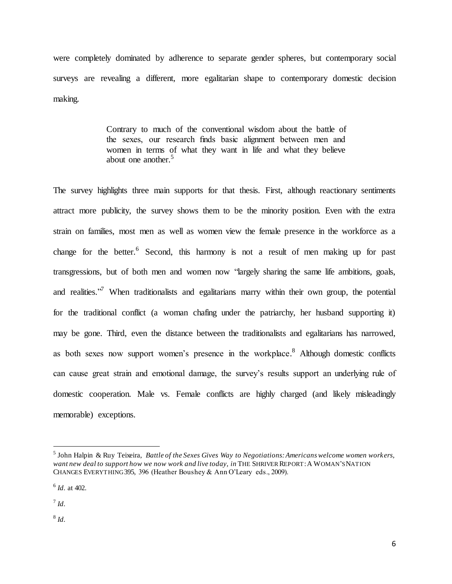were completely dominated by adherence to separate gender spheres, but contemporary social surveys are revealing a different, more egalitarian shape to contemporary domestic decision making.

> Contrary to much of the conventional wisdom about the battle of the sexes, our research finds basic alignment between men and women in terms of what they want in life and what they believe about one another. $5$

The survey highlights three main supports for that thesis. First, although reactionary sentiments attract more publicity, the survey shows them to be the minority position. Even with the extra strain on families, most men as well as women view the female presence in the workforce as a change for the better.<sup>6</sup> Second, this harmony is not a result of men making up for past transgressions, but of both men and women now "largely sharing the same life ambitions, goals, and realities."<sup>7</sup> When traditionalists and egalitarians marry within their own group, the potential for the traditional conflict (a woman chafing under the patriarchy, her husband supporting it) may be gone. Third, even the distance between the traditionalists and egalitarians has narrowed, as both sexes now support women's presence in the workplace.<sup>8</sup> Although domestic conflicts can cause great strain and emotional damage, the survey's results support an underlying rule of domestic cooperation. Male vs. Female conflicts are highly charged (and likely misleadingly memorable) exceptions.

7 *Id.*

 $\overline{a}$ 

8 *Id.*

<sup>5</sup> John Halpin & Ruy Teixeira, *Battle of the Sexes Gives Way to Negotiations: Americans welcome women workers, want new deal to support how we now work and live today, in* THE SHRIVER REPORT:A WOMAN'S NATION CHANGES EVERYTHING 395, 396 (Heather Boushey & Ann O'Leary eds., 2009).

<sup>6</sup> *Id.* at 402.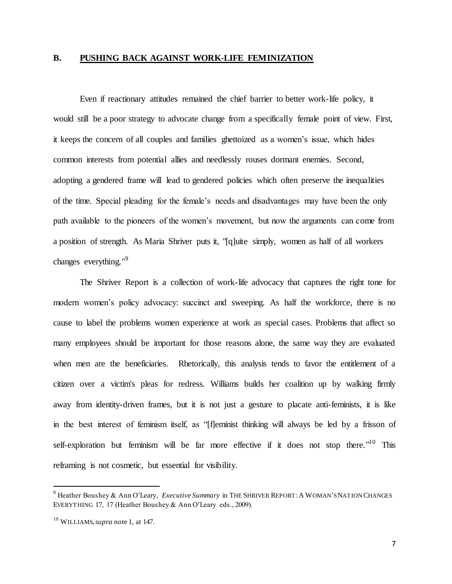#### **B. PUSHING BACK AGAINST WORK-LIFE FEMINIZATION**

Even if reactionary attitudes remained the chief barrier to better work-life policy, it would still be a poor strategy to advocate change from a specifically female point of view. First, it keeps the concern of all couples and families ghettoized as a women's issue, which hides common interests from potential allies and needlessly rouses dormant enemies. Second, adopting a gendered frame will lead to gendered policies which often preserve the inequalities of the time. Special pleading for the female's needs and disadvantages may have been the only path available to the pioneers of the women's movement, but now the arguments can come from a position of strength. As Maria Shriver puts it, "[q]uite simply, women as half of all workers changes everything."<sup>9</sup>

The Shriver Report is a collection of work-life advocacy that captures the right tone for modern women's policy advocacy: succinct and sweeping. As half the workforce, there is no cause to label the problems women experience at work as special cases. Problems that affect so many employees should be important for those reasons alone, the same way they are evaluated when men are the beneficiaries. Rhetorically, this analysis tends to favor the entitlement of a citizen over a victim's pleas for redress. Williams builds her coalition up by walking firmly away from identity-driven frames, but it is not just a gesture to placate anti-feminists, it is like in the best interest of feminism itself, as "[f]eminist thinking will always be led by a frisson of self-exploration but feminism will be far more effective if it does not stop there."<sup>10</sup> This reframing is not cosmetic, but essential for visibility.

<sup>9</sup> Heather Boushey & Ann O'Leary, *Executive Summary* in THE SHRIVER REPORT:A WOMAN'S NATION CHANGES EVERYTHING 17, 17 (Heather Boushey & Ann O'Leary eds., 2009).

<sup>10</sup> WILLIAMS*, supra* note 1, at 147.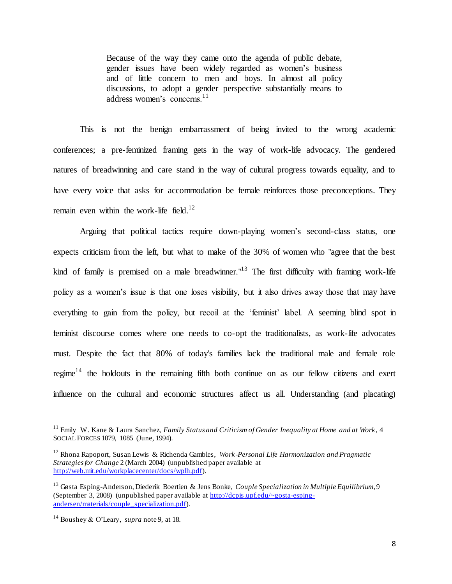Because of the way they came onto the agenda of public debate, gender issues have been widely regarded as women's business and of little concern to men and boys. In almost all policy discussions, to adopt a gender perspective substantially means to address women's concerns.<sup>11</sup>

This is not the benign embarrassment of being invited to the wrong academic conferences; a pre-feminized framing gets in the way of work-life advocacy. The gendered natures of breadwinning and care stand in the way of cultural progress towards equality, and to have every voice that asks for accommodation be female reinforces those preconceptions. They remain even within the work-life field.<sup>12</sup>

Arguing that political tactics require down-playing women's second-class status, one expects criticism from the left, but what to make of the 30% of women who "agree that the best kind of family is premised on a male breadwinner. $13$  The first difficulty with framing work-life policy as a women's issue is that one loses visibility, but it also drives away those that may have everything to gain from the policy, but recoil at the 'feminist' label. A seeming blind spot in feminist discourse comes where one needs to co-opt the traditionalists, as work-life advocates must. Despite the fact that 80% of today's families lack the traditional male and female role regime<sup>14</sup> the holdouts in the remaining fifth both continue on as our fellow citizens and exert influence on the cultural and economic structures affect us all. Understanding (and placating)

<sup>&</sup>lt;sup>11</sup> Emily W. Kane & Laura Sanchez, *Family Status and Criticism of Gender Inequality at Home and at Work*, 4 SOCIAL FORCES 1079, 1085 (June, 1994).

<sup>12</sup> Rhona Rapoport, Susan Lewis & Richenda Gambles, *Work-Personal Life Harmonization and Pragmatic Strategies for Change* 2 (March 2004) (unpublished paper available at [http://web.mit.edu/workplacecenter/docs/wplh.pdf\)](http://web.mit.edu/workplacecenter/docs/wplh.pdf).

<sup>13</sup> Gøsta Esping-Anderson, Diederik Boertien & Jens Bonke, *Couple Specialization in Multiple Equilibrium,* 9 (September 3, 2008) (unpublished paper available at [http://dcpis.upf.edu/~gosta-esping](http://dcpis.upf.edu/~gosta-esping-andersen/materials/couple_specialization.pdf)[andersen/materials/couple\\_specialization.pdf\)](http://dcpis.upf.edu/~gosta-esping-andersen/materials/couple_specialization.pdf).

<sup>14</sup> Boushey & O'Leary, *supra* note 9, at 18.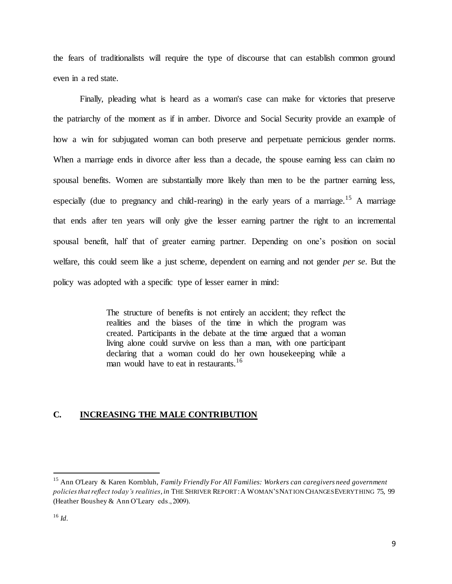the fears of traditionalists will require the type of discourse that can establish common ground even in a red state.

Finally, pleading what is heard as a woman's case can make for victories that preserve the patriarchy of the moment as if in amber. Divorce and Social Security provide an example of how a win for subjugated woman can both preserve and perpetuate pernicious gender norms. When a marriage ends in divorce after less than a decade, the spouse earning less can claim no spousal benefits. Women are substantially more likely than men to be the partner earning less, especially (due to pregnancy and child-rearing) in the early years of a marriage.<sup>15</sup> A marriage that ends after ten years will only give the lesser earning partner the right to an incremental spousal benefit, half that of greater earning partner. Depending on one's position on social welfare, this could seem like a just scheme, dependent on earning and not gender *per se*. But the policy was adopted with a specific type of lesser earner in mind:

> The structure of benefits is not entirely an accident; they reflect the realities and the biases of the time in which the program was created. Participants in the debate at the time argued that a woman living alone could survive on less than a man, with one participant declaring that a woman could do her own housekeeping while a man would have to eat in restaurants.<sup>16</sup>

#### **C. INCREASING THE MALE CONTRIBUTION**

<sup>15</sup> Ann O'Leary & Karen Kornbluh, *Family Friendly For All Families: Workers can caregivers need government policies that reflect today's realities,in* THE SHRIVER REPORT:A WOMAN'S NATION CHANGES EVERYTHING 75, 99 (Heather Boushey & Ann O'Leary eds., 2009).

<sup>16</sup> *Id.*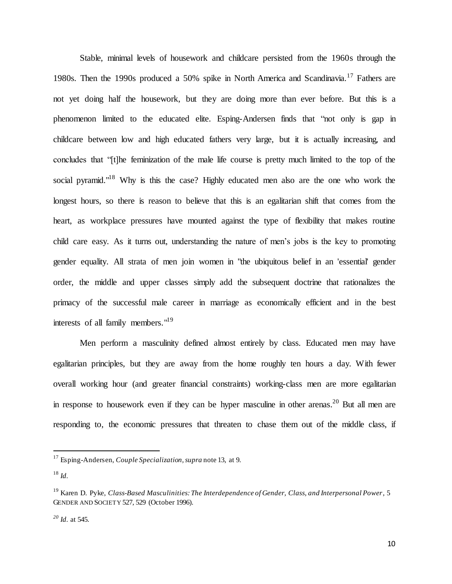Stable, minimal levels of housework and childcare persisted from the 1960s through the 1980s. Then the 1990s produced a 50% spike in North America and Scandinavia.<sup>17</sup> Fathers are not yet doing half the housework, but they are doing more than ever before. But this is a phenomenon limited to the educated elite. Esping-Andersen finds that "not only is gap in childcare between low and high educated fathers very large, but it is actually increasing, and concludes that "[t]he feminization of the male life course is pretty much limited to the top of the social pyramid."<sup>18</sup> Why is this the case? Highly educated men also are the one who work the longest hours, so there is reason to believe that this is an egalitarian shift that comes from the heart, as workplace pressures have mounted against the type of flexibility that makes routine child care easy. As it turns out, understanding the nature of men's jobs is the key to promoting gender equality. All strata of men join women in "the ubiquitous belief in an 'essential' gender order, the middle and upper classes simply add the subsequent doctrine that rationalizes the primacy of the successful male career in marriage as economically efficient and in the best interests of all family members."<sup>19</sup>

Men perform a masculinity defined almost entirely by class. Educated men may have egalitarian principles, but they are away from the home roughly ten hours a day. With fewer overall working hour (and greater financial constraints) working-class men are more egalitarian in response to housework even if they can be hyper masculine in other arenas.<sup>20</sup> But all men are responding to, the economic pressures that threaten to chase them out of the middle class, if

<sup>17</sup> Esping-Andersen, *Couple Specialization, supra* note 13, at 9.

<sup>18</sup> *Id.*

<sup>19</sup> Karen D. Pyke, *Class-Based Masculinities: The Interdependence of Gender, Class, and Interpersonal Power*, 5 GENDER AND SOCIETY 527, 529 (October 1996).

*<sup>20</sup> Id.* at 545.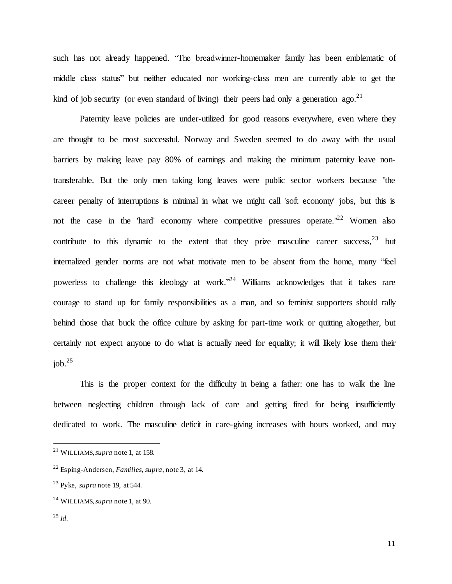such has not already happened. "The breadwinner-homemaker family has been emblematic of middle class status" but neither educated nor working-class men are currently able to get the kind of job security (or even standard of living) their peers had only a generation ago.<sup>21</sup>

Paternity leave policies are under-utilized for good reasons everywhere, even where they are thought to be most successful. Norway and Sweden seemed to do away with the usual barriers by making leave pay 80% of earnings and making the minimum paternity leave nontransferable. But the only men taking long leaves were public sector workers because "the career penalty of interruptions is minimal in what we might call 'soft economy' jobs, but this is not the case in the 'hard' economy where competitive pressures operate."<sup>22</sup> Women also contribute to this dynamic to the extent that they prize masculine career success, $23$  but internalized gender norms are not what motivate men to be absent from the home, many "feel powerless to challenge this ideology at work."<sup>24</sup> Williams acknowledges that it takes rare courage to stand up for family responsibilities as a man, and so feminist supporters should rally behind those that buck the office culture by asking for part-time work or quitting altogether, but certainly not expect anyone to do what is actually need for equality; it will likely lose them their  $job.<sup>25</sup>$ 

This is the proper context for the difficulty in being a father: one has to walk the line between neglecting children through lack of care and getting fired for being insufficiently dedicated to work. The masculine deficit in care-giving increases with hours worked, and may

<sup>21</sup> WILLIAMS, *supra* note 1, at 158.

<sup>22</sup> Esping-Andersen, *Families, supra,* note 3, at 14.

<sup>23</sup> Pyke, *supra* note 19, at 544.

<sup>24</sup> WILLIAMS, *supra* note 1, at 90.

<sup>25</sup> *Id.*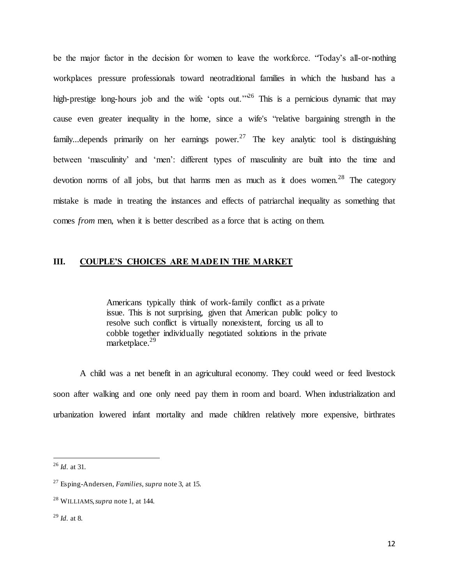be the major factor in the decision for women to leave the workforce. "Today's all-or-nothing workplaces pressure professionals toward neotraditional families in which the husband has a high-prestige long-hours job and the wife 'opts out.'<sup>26</sup> This is a pernicious dynamic that may cause even greater inequality in the home, since a wife's "relative bargaining strength in the family...depends primarily on her earnings power.<sup>27</sup> The key analytic tool is distinguishing between 'masculinity' and 'men': different types of masculinity are built into the time and devotion norms of all jobs, but that harms men as much as it does women.<sup>28</sup> The category mistake is made in treating the instances and effects of patriarchal inequality as something that comes *from* men, when it is better described as a force that is acting on them.

#### **III. COUPLE'S CHOICES ARE MADE IN THE MARKET**

Americans typically think of work-family conflict as a private issue. This is not surprising, given that American public policy to resolve such conflict is virtually nonexistent, forcing us all to cobble together individually negotiated solutions in the private marketplace.<sup>29</sup>

A child was a net benefit in an agricultural economy. They could weed or feed livestock soon after walking and one only need pay them in room and board. When industrialization and urbanization lowered infant mortality and made children relatively more expensive, birthrates

<sup>26</sup> *Id.* at 31.

<sup>27</sup> Esping-Andersen, *Families*, *supra* note 3, at 15.

<sup>28</sup> WILLIAMS, *supra* note 1, at 144.

<sup>29</sup> *Id.* at 8.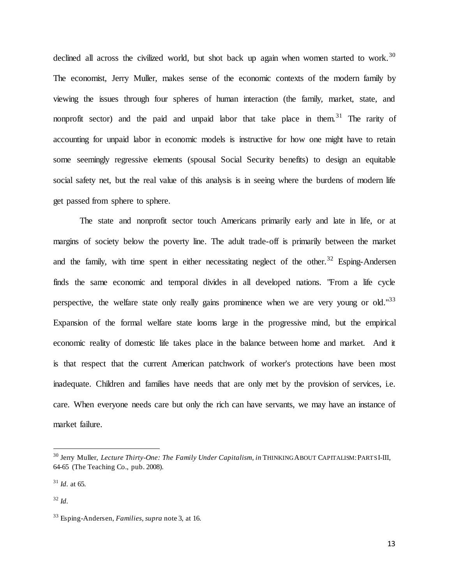declined all across the civilized world, but shot back up again when women started to work.<sup>30</sup> The economist, Jerry Muller, makes sense of the economic contexts of the modern family by viewing the issues through four spheres of human interaction (the family, market, state, and nonprofit sector) and the paid and unpaid labor that take place in them.<sup>31</sup> The rarity of accounting for unpaid labor in economic models is instructive for how one might have to retain some seemingly regressive elements (spousal Social Security benefits) to design an equitable social safety net, but the real value of this analysis is in seeing where the burdens of modern life get passed from sphere to sphere.

The state and nonprofit sector touch Americans primarily early and late in life, or at margins of society below the poverty line. The adult trade-off is primarily between the market and the family, with time spent in either necessitating neglect of the other.<sup>32</sup> Esping-Andersen finds the same economic and temporal divides in all developed nations. "From a life cycle perspective, the welfare state only really gains prominence when we are very young or old."<sup>33</sup> Expansion of the formal welfare state looms large in the progressive mind, but the empirical economic reality of domestic life takes place in the balance between home and market. And it is that respect that the current American patchwork of worker's protections have been most inadequate. Children and families have needs that are only met by the provision of services, i.e. care. When everyone needs care but only the rich can have servants, we may have an instance of market failure.

<sup>30</sup> Jerry Muller, *Lecture Thirty-One: The Family Under Capitalism, in* THINKING ABOUT CAPITALISM:PARTS I-III, 64-65 (The Teaching Co., pub. 2008).

 $31$  *Id.* at 65.

<sup>32</sup> *Id.*

<sup>33</sup> Esping-Andersen, *Families*, *supra* note 3, at 16.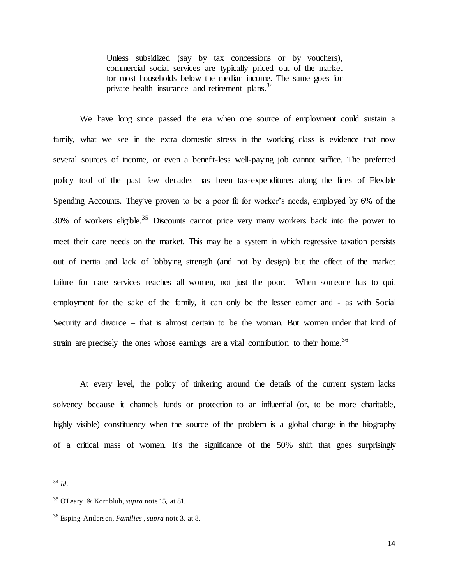Unless subsidized (say by tax concessions or by vouchers), commercial social services are typically priced out of the market for most households below the median income. The same goes for private health insurance and retirement plans.<sup>34</sup>

We have long since passed the era when one source of employment could sustain a family, what we see in the extra domestic stress in the working class is evidence that now several sources of income, or even a benefit-less well-paying job cannot suffice. The preferred policy tool of the past few decades has been tax-expenditures along the lines of Flexible Spending Accounts. They've proven to be a poor fit for worker's needs, employed by 6% of the  $30\%$  of workers eligible.<sup>35</sup> Discounts cannot price very many workers back into the power to meet their care needs on the market. This may be a system in which regressive taxation persists out of inertia and lack of lobbying strength (and not by design) but the effect of the market failure for care services reaches all women, not just the poor. When someone has to quit employment for the sake of the family, it can only be the lesser earner and - as with Social Security and divorce – that is almost certain to be the woman. But women under that kind of strain are precisely the ones whose earnings are a vital contribution to their home.<sup>36</sup>

At every level, the policy of tinkering around the details of the current system lacks solvency because it channels funds or protection to an influential (or, to be more charitable, highly visible) constituency when the source of the problem is a global change in the biography of a critical mass of women. It's the significance of the 50% shift that goes surprisingly

 $\overline{a}$ <sup>34</sup> *Id.*

<sup>35</sup> O'Leary & Kornbluh, *supra* note 15, at 81.

<sup>36</sup> Esping-Andersen, *Families* , *supra* note 3, at 8.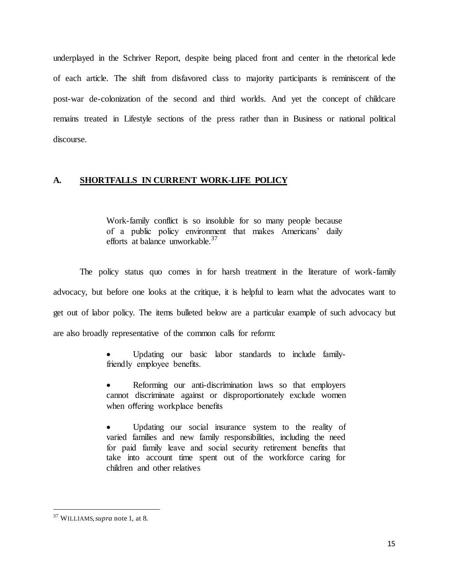underplayed in the Schriver Report, despite being placed front and center in the rhetorical lede of each article. The shift from disfavored class to majority participants is reminiscent of the post-war de-colonization of the second and third worlds. And yet the concept of childcare remains treated in Lifestyle sections of the press rather than in Business or national political discourse.

#### **A. SHORTFALLS IN CURRENT WORK-LIFE POLICY**

Work-family conflict is so insoluble for so many people because of a public policy environment that makes Americans' daily efforts at balance unworkable.<sup>37</sup>

The policy status quo comes in for harsh treatment in the literature of work-family advocacy, but before one looks at the critique, it is helpful to learn what the advocates want to get out of labor policy. The items bulleted below are a particular example of such advocacy but are also broadly representative of the common calls for reform:

> Updating our basic labor standards to include familyfriendly employee benefits.

> Reforming our anti-discrimination laws so that employers cannot discriminate against or disproportionately exclude women when offering workplace benefits

> Updating our social insurance system to the reality of varied families and new family responsibilities, including the need for paid family leave and social security retirement benefits that take into account time spent out of the workforce caring for children and other relatives

<sup>37</sup> WILLIAMS, *supra* note 1, at 8.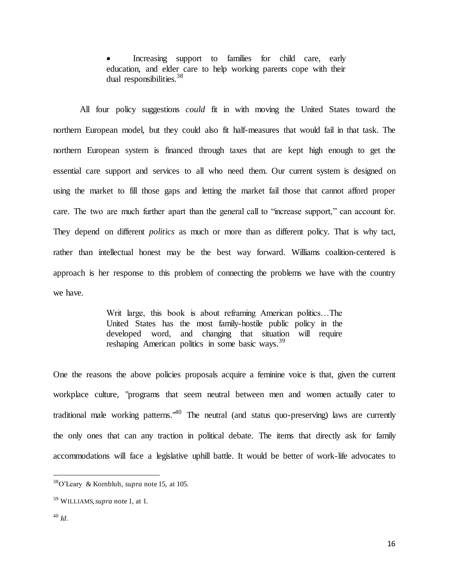Increasing support to families for child care, early education, and elder care to help working parents cope with their dual responsibilities.<sup>38</sup>

All four policy suggestions *could* fit in with moving the United States toward the northern European model, but they could also fit half-measures that would fail in that task. The northern European system is financed through taxes that are kept high enough to get the essential care support and services to all who need them. Our current system is designed on using the market to fill those gaps and letting the market fail those that cannot afford proper care. The two are much further apart than the general call to "increase support," can account for. They depend on different *politics* as much or more than as different policy. That is why tact, rather than intellectual honest may be the best way forward. Williams coalition-centered is approach is her response to this problem of connecting the problems we have with the country we have.

> Writ large, this book is about reframing American politics…The United States has the most family-hostile public policy in the developed word, and changing that situation will require reshaping American politics in some basic ways.<sup>39</sup>

One the reasons the above policies proposals acquire a feminine voice is that, given the current workplace culture, "programs that seem neutral between men and women actually cater to traditional male working patterns."<sup>40</sup> The neutral (and status quo-preserving) laws are currently the only ones that can any traction in political debate. The items that directly ask for family accommodations will face a legislative uphill battle. It would be better of work-life advocates to

<sup>38</sup>O'Leary & Kornbluh, *supra* note 15, at 105.

<sup>39</sup> WILLIAMS, *supra* note 1, at 1.

<sup>40</sup> *Id.*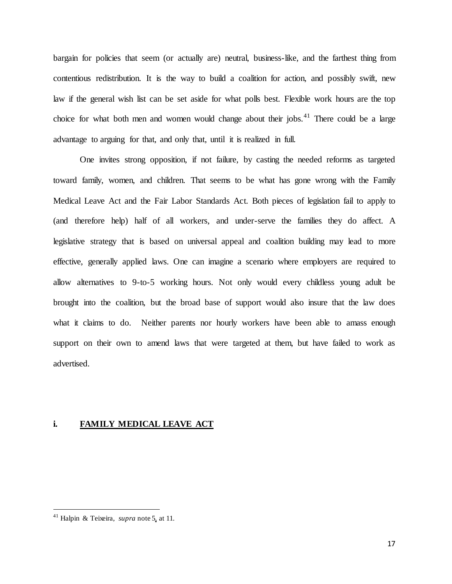bargain for policies that seem (or actually are) neutral, business-like, and the farthest thing from contentious redistribution. It is the way to build a coalition for action, and possibly swift, new law if the general wish list can be set aside for what polls best. Flexible work hours are the top choice for what both men and women would change about their jobs.<sup>41</sup> There could be a large advantage to arguing for that, and only that, until it is realized in full.

One invites strong opposition, if not failure, by casting the needed reforms as targeted toward family, women, and children. That seems to be what has gone wrong with the Family Medical Leave Act and the Fair Labor Standards Act. Both pieces of legislation fail to apply to (and therefore help) half of all workers, and under-serve the families they do affect. A legislative strategy that is based on universal appeal and coalition building may lead to more effective, generally applied laws. One can imagine a scenario where employers are required to allow alternatives to 9-to-5 working hours. Not only would every childless young adult be brought into the coalition, but the broad base of support would also insure that the law does what it claims to do. Neither parents nor hourly workers have been able to amass enough support on their own to amend laws that were targeted at them, but have failed to work as advertised.

#### **i. FAMILY MEDICAL LEAVE ACT**

<sup>41</sup> Halpin & Teixeira, *supra* note 5, at 11.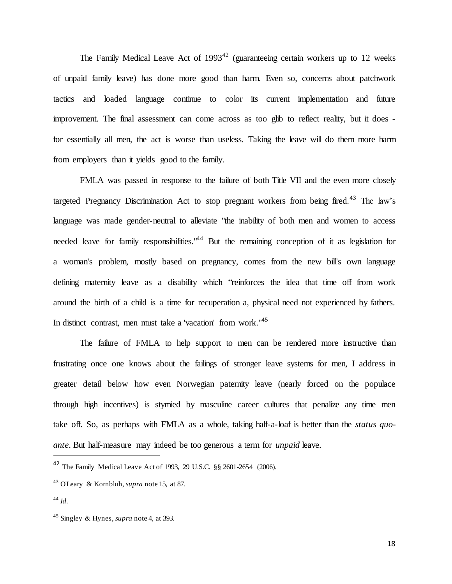The Family Medical Leave Act of  $1993^{42}$  (guaranteeing certain workers up to 12 weeks of unpaid family leave) has done more good than harm. Even so, concerns about patchwork tactics and loaded language continue to color its current implementation and future improvement. The final assessment can come across as too glib to reflect reality, but it does for essentially all men, the act is worse than useless. Taking the leave will do them more harm from employers than it yields good to the family.

FMLA was passed in response to the failure of both Title VII and the even more closely targeted Pregnancy Discrimination Act to stop pregnant workers from being fired.<sup>43</sup> The law's language was made gender-neutral to alleviate "the inability of both men and women to access needed leave for family responsibilities.<sup>"44</sup> But the remaining conception of it as legislation for a woman's problem, mostly based on pregnancy, comes from the new bill's own language defining maternity leave as a disability which "reinforces the idea that time off from work around the birth of a child is a time for recuperation a, physical need not experienced by fathers. In distinct contrast, men must take a 'vacation' from work."<sup>45</sup>

The failure of FMLA to help support to men can be rendered more instructive than frustrating once one knows about the failings of stronger leave systems for men, I address in greater detail below how even Norwegian paternity leave (nearly forced on the populace through high incentives) is stymied by masculine career cultures that penalize any time men take off. So, as perhaps with FMLA as a whole, taking half-a-loaf is better than the *status quoante*. But half-measure may indeed be too generous a term for *unpaid* leave.

<sup>42</sup> The Family Medical Leave Act of 1993, 29 U.S.C. §§ 2601-2654 (2006).

<sup>43</sup> O'Leary & Kornbluh, *supra* note 15, at 87.

<sup>44</sup> *Id.*

<sup>45</sup> Singley & Hynes, *supra* note 4, at 393.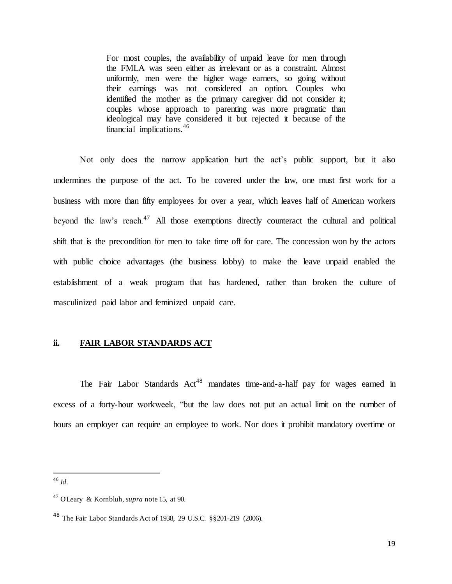For most couples, the availability of unpaid leave for men through the FMLA was seen either as irrelevant or as a constraint. Almost uniformly, men were the higher wage earners, so going without their earnings was not considered an option. Couples who identified the mother as the primary caregiver did not consider it; couples whose approach to parenting was more pragmatic than ideological may have considered it but rejected it because of the financial implications.<sup>46</sup>

Not only does the narrow application hurt the act's public support, but it also undermines the purpose of the act. To be covered under the law, one must first work for a business with more than fifty employees for over a year, which leaves half of American workers beyond the law's reach.<sup>47</sup> All those exemptions directly counteract the cultural and political shift that is the precondition for men to take time off for care. The concession won by the actors with public choice advantages (the business lobby) to make the leave unpaid enabled the establishment of a weak program that has hardened, rather than broken the culture of masculinized paid labor and feminized unpaid care.

#### **ii. FAIR LABOR STANDARDS ACT**

The Fair Labor Standards Act<sup>48</sup> mandates time-and-a-half pay for wages earned in excess of a forty-hour workweek, "but the law does not put an actual limit on the number of hours an employer can require an employee to work. Nor does it prohibit mandatory overtime or

<sup>46</sup> *Id.*

<sup>47</sup> O'Leary & Kornbluh, *supra* note 15, at 90.

<sup>48</sup> The Fair Labor Standards Act of 1938, 29 U.S.C. §§201-219 (2006).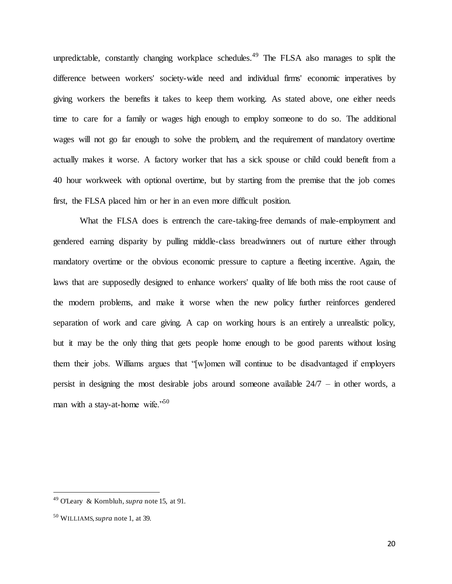unpredictable, constantly changing workplace schedules.<sup>49</sup> The FLSA also manages to split the difference between workers' society-wide need and individual firms' economic imperatives by giving workers the benefits it takes to keep them working. As stated above, one either needs time to care for a family or wages high enough to employ someone to do so. The additional wages will not go far enough to solve the problem, and the requirement of mandatory overtime actually makes it worse. A factory worker that has a sick spouse or child could benefit from a 40 hour workweek with optional overtime, but by starting from the premise that the job comes first, the FLSA placed him or her in an even more difficult position.

What the FLSA does is entrench the care-taking-free demands of male-employment and gendered earning disparity by pulling middle-class breadwinners out of nurture either through mandatory overtime or the obvious economic pressure to capture a fleeting incentive. Again, the laws that are supposedly designed to enhance workers' quality of life both miss the root cause of the modern problems, and make it worse when the new policy further reinforces gendered separation of work and care giving. A cap on working hours is an entirely a unrealistic policy, but it may be the only thing that gets people home enough to be good parents without losing them their jobs. Williams argues that "[w]omen will continue to be disadvantaged if employers persist in designing the most desirable jobs around someone available 24/7 – in other words, a man with a stay-at-home wife."<sup>50</sup>

<sup>49</sup> O'Leary & Kornbluh, *supra* note 15, at 91.

<sup>50</sup> WILLIAMS, *supra* note 1, at 39.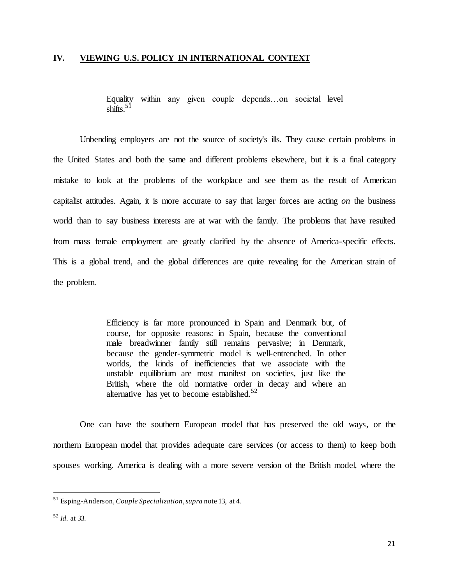#### **IV. VIEWING U.S. POLICY IN INTERNATIONAL CONTEXT**

Equality within any given couple depends…on societal level shifts.<sup>51</sup>

Unbending employers are not the source of society's ills. They cause certain problems in the United States and both the same and different problems elsewhere, but it is a final category mistake to look at the problems of the workplace and see them as the result of American capitalist attitudes. Again, it is more accurate to say that larger forces are acting *on* the business world than to say business interests are at war with the family. The problems that have resulted from mass female employment are greatly clarified by the absence of America-specific effects. This is a global trend, and the global differences are quite revealing for the American strain of the problem.

> Efficiency is far more pronounced in Spain and Denmark but, of course, for opposite reasons: in Spain, because the conventional male breadwinner family still remains pervasive; in Denmark, because the gender-symmetric model is well-entrenched. In other worlds, the kinds of inefficiencies that we associate with the unstable equilibrium are most manifest on societies, just like the British, where the old normative order in decay and where an alternative has yet to become established.<sup>52</sup>

One can have the southern European model that has preserved the old ways, or the northern European model that provides adequate care services (or access to them) to keep both spouses working. America is dealing with a more severe version of the British model, where the

<sup>51</sup> Esping-Anderson, *Couple Specialization*, *supra* note 13, at 4.

<sup>52</sup> *Id.* at 33.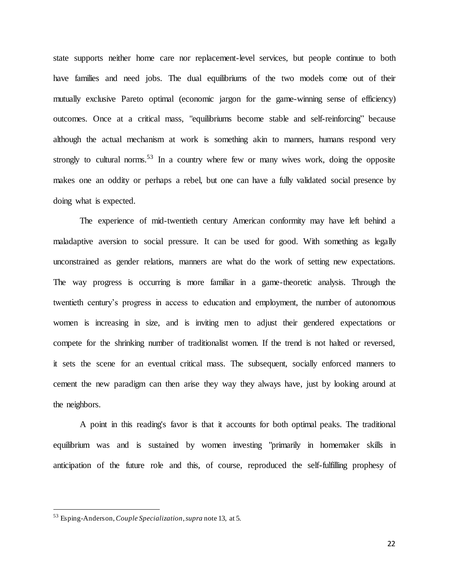state supports neither home care nor replacement-level services, but people continue to both have families and need jobs. The dual equilibriums of the two models come out of their mutually exclusive Pareto optimal (economic jargon for the game-winning sense of efficiency) outcomes. Once at a critical mass, "equilibriums become stable and self-reinforcing" because although the actual mechanism at work is something akin to manners, humans respond very strongly to cultural norms.<sup>53</sup> In a country where few or many wives work, doing the opposite makes one an oddity or perhaps a rebel, but one can have a fully validated social presence by doing what is expected.

The experience of mid-twentieth century American conformity may have left behind a maladaptive aversion to social pressure. It can be used for good. With something as legally unconstrained as gender relations, manners are what do the work of setting new expectations. The way progress is occurring is more familiar in a game-theoretic analysis. Through the twentieth century's progress in access to education and employment, the number of autonomous women is increasing in size, and is inviting men to adjust their gendered expectations or compete for the shrinking number of traditionalist women. If the trend is not halted or reversed, it sets the scene for an eventual critical mass. The subsequent, socially enforced manners to cement the new paradigm can then arise they way they always have, just by looking around at the neighbors.

A point in this reading's favor is that it accounts for both optimal peaks. The traditional equilibrium was and is sustained by women investing "primarily in homemaker skills in anticipation of the future role and this, of course, reproduced the self-fulfilling prophesy of

<sup>53</sup> Esping-Anderson, *Couple Specialization*, *supra* note 13, at 5.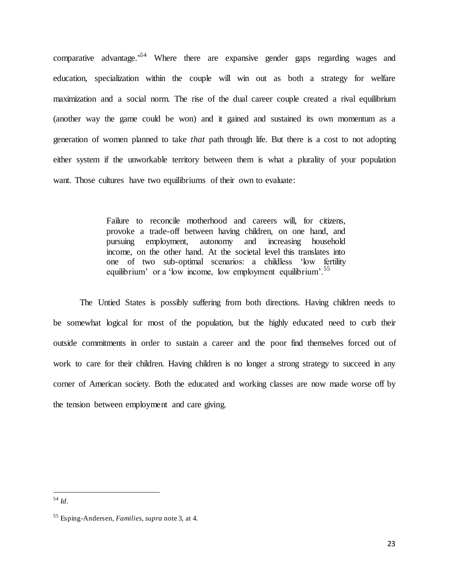comparative advantage."<sup>54</sup> Where there are expansive gender gaps regarding wages and education, specialization within the couple will win out as both a strategy for welfare maximization and a social norm. The rise of the dual career couple created a rival equilibrium (another way the game could be won) and it gained and sustained its own momentum as a generation of women planned to take *that* path through life. But there is a cost to not adopting either system if the unworkable territory between them is what a plurality of your population want. Those cultures have two equilibriums of their own to evaluate:

> Failure to reconcile motherhood and careers will, for citizens, provoke a trade-off between having children, on one hand, and pursuing employment, autonomy and increasing household income, on the other hand. At the societal level this translates into one of two sub-optimal scenarios: a childless 'low fertility equilibrium' or a 'low income, low employment equilibrium'.<sup>55</sup>

The Untied States is possibly suffering from both directions. Having children needs to be somewhat logical for most of the population, but the highly educated need to curb their outside commitments in order to sustain a career and the poor find themselves forced out of work to care for their children. Having children is no longer a strong strategy to succeed in any corner of American society. Both the educated and working classes are now made worse off by the tension between employment and care giving.

<sup>54</sup> *Id*.

<sup>55</sup> Esping-Andersen, *Families*, *supra* note 3, at 4.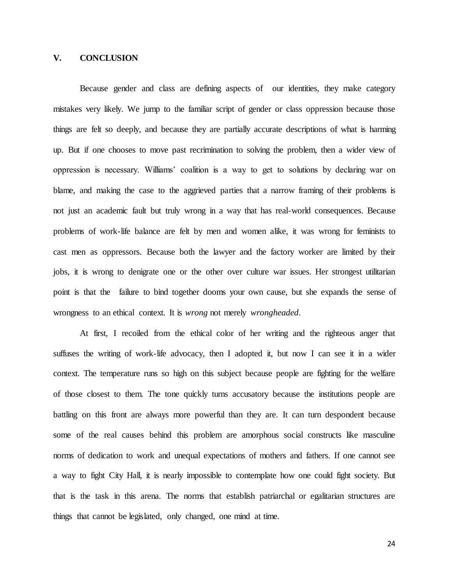#### **V. CONCLUSION**

Because gender and class are defining aspects of our identities, they make category mistakes very likely. We jump to the familiar script of gender or class oppression because those things are felt so deeply, and because they are partially accurate descriptions of what is harming up. But if one chooses to move past recrimination to solving the problem, then a wider view of oppression is necessary. Williams' coalition is a way to get to solutions by declaring war on blame, and making the case to the aggrieved parties that a narrow framing of their problems is not just an academic fault but truly wrong in a way that has real-world consequences. Because problems of work-life balance are felt by men and women alike, it was wrong for feminists to cast men as oppressors. Because both the lawyer and the factory worker are limited by their jobs, it is wrong to denigrate one or the other over culture war issues. Her strongest utilitarian point is that the failure to bind together dooms your own cause, but she expands the sense of wrongness to an ethical context. It is *wrong* not merely *wrongheaded*.

At first, I recoiled from the ethical color of her writing and the righteous anger that suffuses the writing of work-life advocacy, then I adopted it, but now I can see it in a wider context. The temperature runs so high on this subject because people are fighting for the welfare of those closest to them. The tone quickly turns accusatory because the institutions people are battling on this front are always more powerful than they are. It can turn despondent because some of the real causes behind this problem are amorphous social constructs like masculine norms of dedication to work and unequal expectations of mothers and fathers. If one cannot see a way to fight City Hall, it is nearly impossible to contemplate how one could fight society. But that is the task in this arena. The norms that establish patriarchal or egalitarian structures are things that cannot be legislated, only changed, one mind at time.